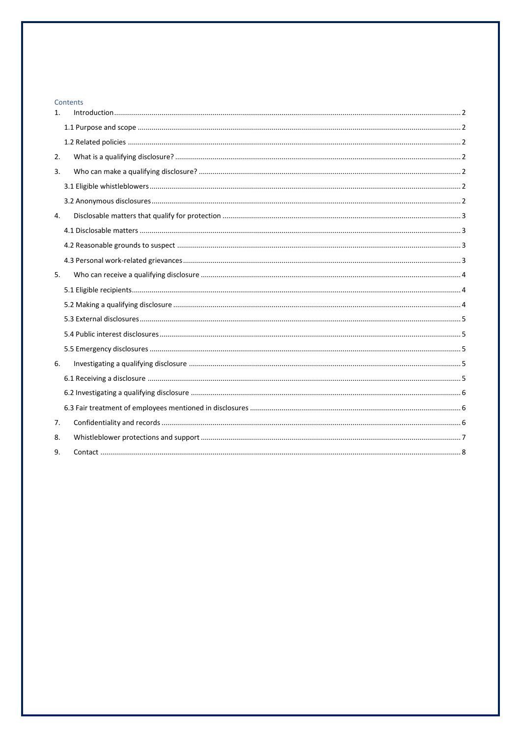# Contents

| 1. |  |
|----|--|
|    |  |
|    |  |
| 2. |  |
| 3. |  |
|    |  |
|    |  |
| 4. |  |
|    |  |
|    |  |
|    |  |
| 5. |  |
|    |  |
|    |  |
|    |  |
|    |  |
|    |  |
| 6. |  |
|    |  |
|    |  |
|    |  |
| 7. |  |
| 8. |  |
| 9. |  |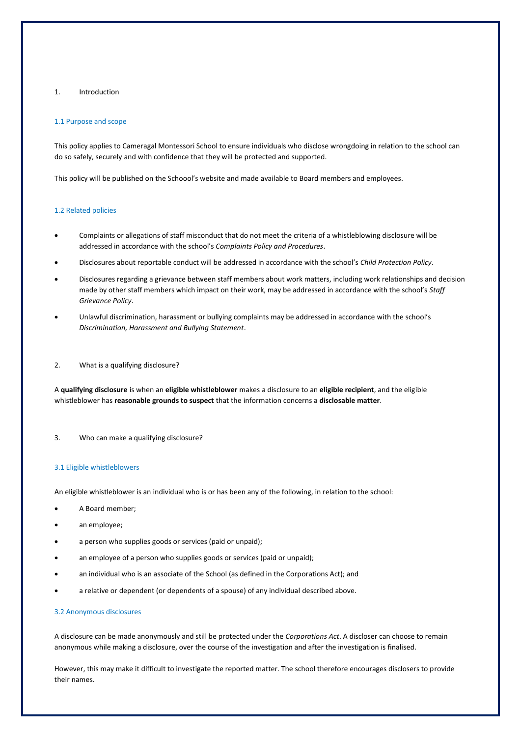## <span id="page-1-0"></span>1. Introduction

### <span id="page-1-1"></span>1.1 Purpose and scope

This policy applies to Cameragal Montessori School to ensure individuals who disclose wrongdoing in relation to the school can do so safely, securely and with confidence that they will be protected and supported.

This policy will be published on the Schoool's website and made available to Board members and employees.

#### <span id="page-1-2"></span>1.2 Related policies

- Complaints or allegations of staff misconduct that do not meet the criteria of a whistleblowing disclosure will be addressed in accordance with the school's *Complaints Policy and Procedures*.
- Disclosures about reportable conduct will be addressed in accordance with the school's *Child Protection Policy*.
- Disclosures regarding a grievance between staff members about work matters, including work relationships and decision made by other staff members which impact on their work, may be addressed in accordance with the school's *Staff Grievance Policy*.
- Unlawful discrimination, harassment or bullying complaints may be addressed in accordance with the school's *Discrimination, Harassment and Bullying Statement*.
- <span id="page-1-3"></span>2. What is a qualifying disclosure?

A **qualifying disclosure** is when an **eligible whistleblower** makes a disclosure to an **eligible recipient**, and the eligible whistleblower has **reasonable grounds to suspect** that the information concerns a **disclosable matter**.

<span id="page-1-4"></span>3. Who can make a qualifying disclosure?

### <span id="page-1-5"></span>3.1 Eligible whistleblowers

An eligible whistleblower is an individual who is or has been any of the following, in relation to the school:

- A Board member;
- an employee;
- a person who supplies goods or services (paid or unpaid);
- an employee of a person who supplies goods or services (paid or unpaid);
- an individual who is an associate of the School (as defined in the Corporations Act); and
- a relative or dependent (or dependents of a spouse) of any individual described above.

### <span id="page-1-6"></span>3.2 Anonymous disclosures

A disclosure can be made anonymously and still be protected under the *Corporations Act*. A discloser can choose to remain anonymous while making a disclosure, over the course of the investigation and after the investigation is finalised.

However, this may make it difficult to investigate the reported matter. The school therefore encourages disclosers to provide their names.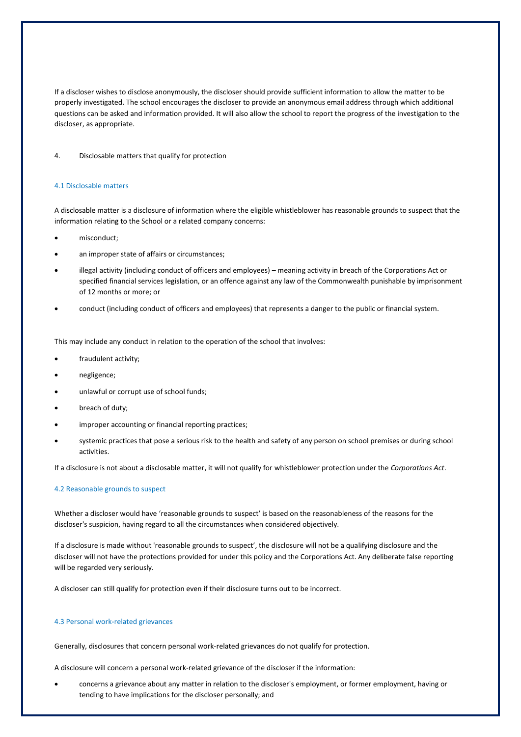If a discloser wishes to disclose anonymously, the discloser should provide sufficient information to allow the matter to be properly investigated. The school encourages the discloser to provide an anonymous email address through which additional questions can be asked and information provided. It will also allow the school to report the progress of the investigation to the discloser, as appropriate.

### <span id="page-2-0"></span>4. Disclosable matters that qualify for protection

### <span id="page-2-1"></span>4.1 Disclosable matters

A disclosable matter is a disclosure of information where the eligible whistleblower has reasonable grounds to suspect that the information relating to the School or a related company concerns:

- misconduct;
- an improper state of affairs or circumstances;
- illegal activity (including conduct of officers and employees) meaning activity in breach of the Corporations Act or specified financial services legislation, or an offence against any law of the Commonwealth punishable by imprisonment of 12 months or more; or
- conduct (including conduct of officers and employees) that represents a danger to the public or financial system.

This may include any conduct in relation to the operation of the school that involves:

- fraudulent activity;
- negligence;
- unlawful or corrupt use of school funds;
- breach of duty;
- improper accounting or financial reporting practices;
- systemic practices that pose a serious risk to the health and safety of any person on school premises or during school activities.

If a disclosure is not about a disclosable matter, it will not qualify for whistleblower protection under the *Corporations Act*.

### <span id="page-2-2"></span>4.2 Reasonable grounds to suspect

Whether a discloser would have 'reasonable grounds to suspect' is based on the reasonableness of the reasons for the discloser's suspicion, having regard to all the circumstances when considered objectively.

If a disclosure is made without 'reasonable grounds to suspect', the disclosure will not be a qualifying disclosure and the discloser will not have the protections provided for under this policy and the Corporations Act. Any deliberate false reporting will be regarded very seriously.

A discloser can still qualify for protection even if their disclosure turns out to be incorrect.

### <span id="page-2-3"></span>4.3 Personal work-related grievances

Generally, disclosures that concern personal work-related grievances do not qualify for protection.

A disclosure will concern a personal work-related grievance of the discloser if the information:

• concerns a grievance about any matter in relation to the discloser's employment, or former employment, having or tending to have implications for the discloser personally; and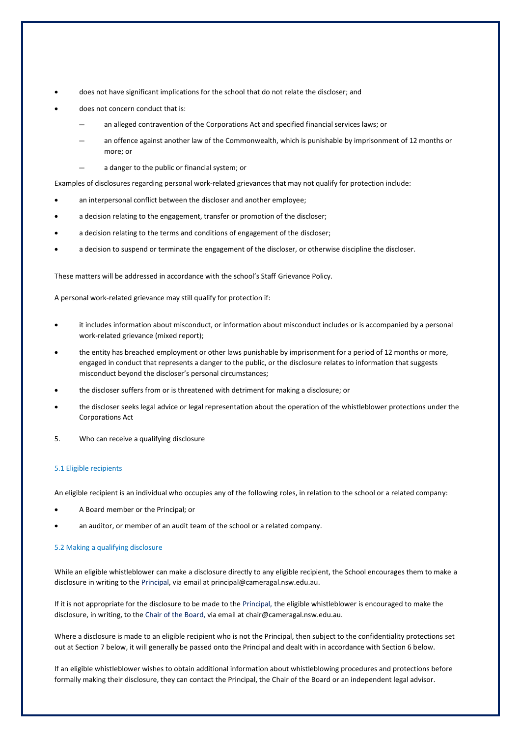- does not have significant implications for the school that do not relate the discloser; and
- does not concern conduct that is:
	- an alleged contravention of the Corporations Act and specified financial services laws; or
	- an offence against another law of the Commonwealth, which is punishable by imprisonment of 12 months or more; or
	- a danger to the public or financial system; or

Examples of disclosures regarding personal work-related grievances that may not qualify for protection include:

- an interpersonal conflict between the discloser and another employee;
- a decision relating to the engagement, transfer or promotion of the discloser;
- a decision relating to the terms and conditions of engagement of the discloser;
- a decision to suspend or terminate the engagement of the discloser, or otherwise discipline the discloser.

These matters will be addressed in accordance with the school's Staff Grievance Policy.

A personal work-related grievance may still qualify for protection if:

- it includes information about misconduct, or information about misconduct includes or is accompanied by a personal work-related grievance (mixed report);
- the entity has breached employment or other laws punishable by imprisonment for a period of 12 months or more, engaged in conduct that represents a danger to the public, or the disclosure relates to information that suggests misconduct beyond the discloser's personal circumstances;
- the discloser suffers from or is threatened with detriment for making a disclosure; or
- the discloser seeks legal advice or legal representation about the operation of the whistleblower protections under the Corporations Act
- <span id="page-3-0"></span>5. Who can receive a qualifying disclosure

### <span id="page-3-1"></span>5.1 Eligible recipients

An eligible recipient is an individual who occupies any of the following roles, in relation to the school or a related company:

- A Board member or the Principal; or
- an auditor, or member of an audit team of the school or a related company.

#### <span id="page-3-2"></span>5.2 Making a qualifying disclosure

While an eligible whistleblower can make a disclosure directly to any eligible recipient, the School encourages them to make a disclosure in writing to the Principal, via email at principal@cameragal.nsw.edu.au.

If it is not appropriate for the disclosure to be made to the Principal, the eligible whistleblower is encouraged to make the disclosure, in writing, to the Chair of the Board, via email at chair@cameragal.nsw.edu.au.

Where a disclosure is made to an eligible recipient who is not the Principal, then subject to the confidentiality protections set out at Section 7 below, it will generally be passed onto the Principal and dealt with in accordance with Section 6 below.

If an eligible whistleblower wishes to obtain additional information about whistleblowing procedures and protections before formally making their disclosure, they can contact the Principal, the Chair of the Board or an independent legal advisor.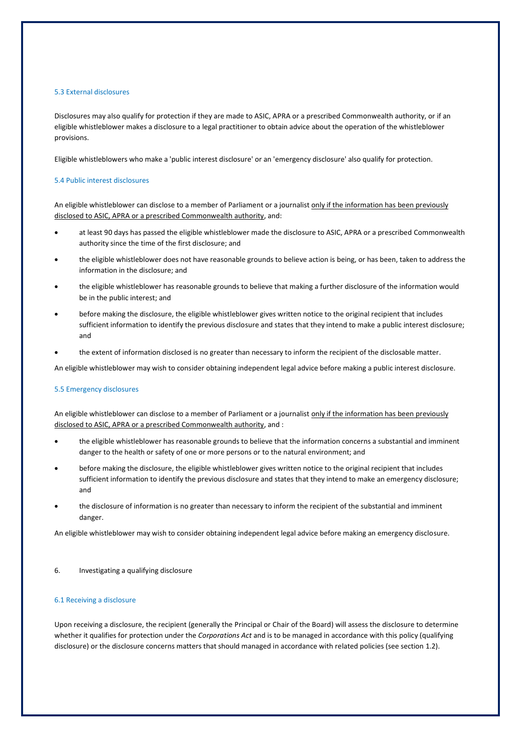## <span id="page-4-0"></span>5.3 External disclosures

Disclosures may also qualify for protection if they are made to ASIC, APRA or a prescribed Commonwealth authority, or if an eligible whistleblower makes a disclosure to a legal practitioner to obtain advice about the operation of the whistleblower provisions.

<span id="page-4-1"></span>Eligible whistleblowers who make a 'public interest disclosure' or an 'emergency disclosure' also qualify for protection.

## 5.4 Public interest disclosures

An eligible whistleblower can disclose to a member of Parliament or a journalist only if the information has been previously disclosed to ASIC, APRA or a prescribed Commonwealth authority, and:

- at least 90 days has passed the eligible whistleblower made the disclosure to ASIC, APRA or a prescribed Commonwealth authority since the time of the first disclosure; and
- the eligible whistleblower does not have reasonable grounds to believe action is being, or has been, taken to address the information in the disclosure; and
- the eligible whistleblower has reasonable grounds to believe that making a further disclosure of the information would be in the public interest; and
- before making the disclosure, the eligible whistleblower gives written notice to the original recipient that includes sufficient information to identify the previous disclosure and states that they intend to make a public interest disclosure; and
- the extent of information disclosed is no greater than necessary to inform the recipient of the disclosable matter.

An eligible whistleblower may wish to consider obtaining independent legal advice before making a public interest disclosure.

### <span id="page-4-2"></span>5.5 Emergency disclosures

An eligible whistleblower can disclose to a member of Parliament or a journalist only if the information has been previously disclosed to ASIC, APRA or a prescribed Commonwealth authority, and :

- the eligible whistleblower has reasonable grounds to believe that the information concerns a substantial and imminent danger to the health or safety of one or more persons or to the natural environment; and
- before making the disclosure, the eligible whistleblower gives written notice to the original recipient that includes sufficient information to identify the previous disclosure and states that they intend to make an emergency disclosure; and
- the disclosure of information is no greater than necessary to inform the recipient of the substantial and imminent danger.

An eligible whistleblower may wish to consider obtaining independent legal advice before making an emergency disclosure.

<span id="page-4-3"></span>6. Investigating a qualifying disclosure

### <span id="page-4-4"></span>6.1 Receiving a disclosure

Upon receiving a disclosure, the recipient (generally the Principal or Chair of the Board) will assess the disclosure to determine whether it qualifies for protection under the *Corporations Act* and is to be managed in accordance with this policy (qualifying disclosure) or the disclosure concerns matters that should managed in accordance with related policies (see section 1.2).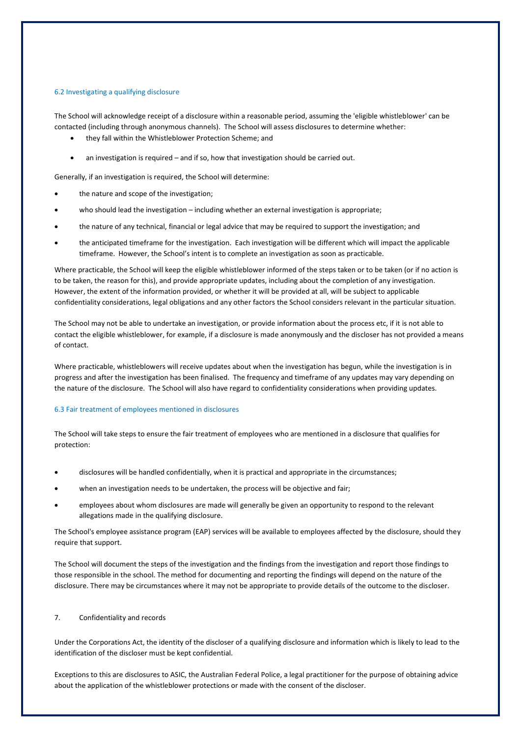### <span id="page-5-0"></span>6.2 Investigating a qualifying disclosure

The School will acknowledge receipt of a disclosure within a reasonable period, assuming the 'eligible whistleblower' can be contacted (including through anonymous channels). The School will assess disclosures to determine whether:

- they fall within the Whistleblower Protection Scheme; and
- an investigation is required and if so, how that investigation should be carried out.

Generally, if an investigation is required, the School will determine:

- the nature and scope of the investigation;
- who should lead the investigation including whether an external investigation is appropriate;
- the nature of any technical, financial or legal advice that may be required to support the investigation; and
- the anticipated timeframe for the investigation. Each investigation will be different which will impact the applicable timeframe. However, the School's intent is to complete an investigation as soon as practicable.

Where practicable, the School will keep the eligible whistleblower informed of the steps taken or to be taken (or if no action is to be taken, the reason for this), and provide appropriate updates, including about the completion of any investigation. However, the extent of the information provided, or whether it will be provided at all, will be subject to applicable confidentiality considerations, legal obligations and any other factors the School considers relevant in the particular situation.

The School may not be able to undertake an investigation, or provide information about the process etc, if it is not able to contact the eligible whistleblower, for example, if a disclosure is made anonymously and the discloser has not provided a means of contact.

Where practicable, whistleblowers will receive updates about when the investigation has begun, while the investigation is in progress and after the investigation has been finalised. The frequency and timeframe of any updates may vary depending on the nature of the disclosure. The School will also have regard to confidentiality considerations when providing updates.

# <span id="page-5-1"></span>6.3 Fair treatment of employees mentioned in disclosures

The School will take steps to ensure the fair treatment of employees who are mentioned in a disclosure that qualifies for protection:

- disclosures will be handled confidentially, when it is practical and appropriate in the circumstances;
- when an investigation needs to be undertaken, the process will be objective and fair;
- employees about whom disclosures are made will generally be given an opportunity to respond to the relevant allegations made in the qualifying disclosure.

The School's employee assistance program (EAP) services will be available to employees affected by the disclosure, should they require that support.

The School will document the steps of the investigation and the findings from the investigation and report those findings to those responsible in the school. The method for documenting and reporting the findings will depend on the nature of the disclosure. There may be circumstances where it may not be appropriate to provide details of the outcome to the discloser.

# <span id="page-5-2"></span>7. Confidentiality and records

Under the Corporations Act, the identity of the discloser of a qualifying disclosure and information which is likely to lead to the identification of the discloser must be kept confidential.

Exceptions to this are disclosures to ASIC, the Australian Federal Police, a legal practitioner for the purpose of obtaining advice about the application of the whistleblower protections or made with the consent of the discloser.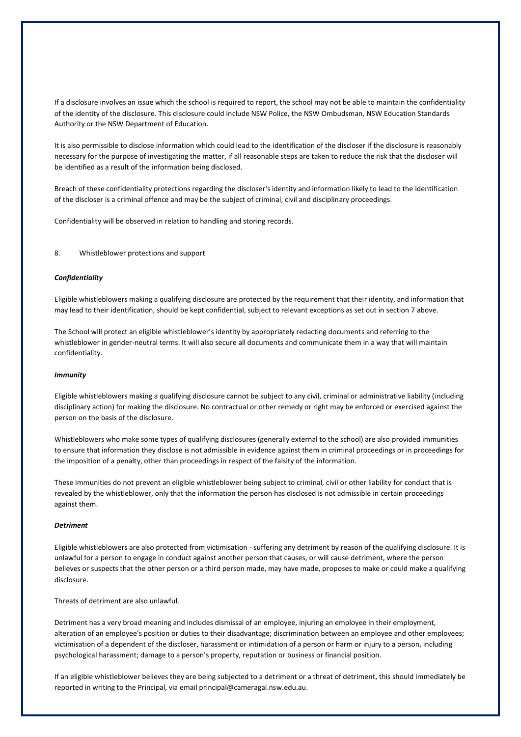If a disclosure involves an issue which the school is required to report, the school may not be able to maintain the confidentiality of the identity of the disclosure. This disclosure could include NSW Police, the NSW Ombudsman, NSW Education Standards Authority or the NSW Department of Education.

It is also permissible to disclose information which could lead to the identification of the discloser if the disclosure is reasonably necessary for the purpose of investigating the matter, if all reasonable steps are taken to reduce the risk that the discloser will be identified as a result of the information being disclosed.

Breach of these confidentiality protections regarding the discloser's identity and information likely to lead to the identification of the discloser is a criminal offence and may be the subject of criminal, civil and disciplinary proceedings.

Confidentiality will be observed in relation to handling and storing records.

### <span id="page-6-0"></span>8. Whistleblower protections and support

#### *Confidentiality*

Eligible whistleblowers making a qualifying disclosure are protected by the requirement that their identity, and information that may lead to their identification, should be kept confidential, subject to relevant exceptions as set out in section 7 above.

The School will protect an eligible whistleblower's identity by appropriately redacting documents and referring to the whistleblower in gender-neutral terms. It will also secure all documents and communicate them in a way that will maintain confidentiality.

#### *Immunity*

Eligible whistleblowers making a qualifying disclosure cannot be subject to any civil, criminal or administrative liability (including disciplinary action) for making the disclosure. No contractual or other remedy or right may be enforced or exercised against the person on the basis of the disclosure.

Whistleblowers who make some types of qualifying disclosures (generally external to the school) are also provided immunities to ensure that information they disclose is not admissible in evidence against them in criminal proceedings or in proceedings for the imposition of a penalty, other than proceedings in respect of the falsity of the information.

These immunities do not prevent an eligible whistleblower being subject to criminal, civil or other liability for conduct that is revealed by the whistleblower, only that the information the person has disclosed is not admissible in certain proceedings against them.

### *Detriment*

Eligible whistleblowers are also protected from victimisation - suffering any detriment by reason of the qualifying disclosure. It is unlawful for a person to engage in conduct against another person that causes, or will cause detriment, where the person believes or suspects that the other person or a third person made, may have made, proposes to make or could make a qualifying disclosure.

Threats of detriment are also unlawful.

Detriment has a very broad meaning and includes dismissal of an employee, injuring an employee in their employment, alteration of an employee's position or duties to their disadvantage; discrimination between an employee and other employees; victimisation of a dependent of the discloser, harassment or intimidation of a person or harm or injury to a person, including psychological harassment; damage to a person's property, reputation or business or financial position.

If an eligible whistleblower believes they are being subjected to a detriment or a threat of detriment, this should immediately be reported in writing to the Principal, via email principal@cameragal.nsw.edu.au.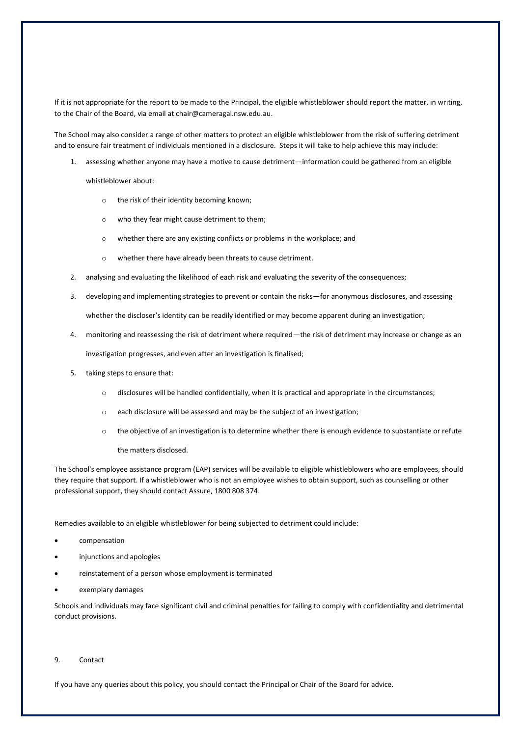If it is not appropriate for the report to be made to the Principal, the eligible whistleblower should report the matter, in writing, to the Chair of the Board, via email at chair@cameragal.nsw.edu.au.

The School may also consider a range of other matters to protect an eligible whistleblower from the risk of suffering detriment and to ensure fair treatment of individuals mentioned in a disclosure. Steps it will take to help achieve this may include:

1. assessing whether anyone may have a motive to cause detriment—information could be gathered from an eligible

whistleblower about:

- o the risk of their identity becoming known;
- o who they fear might cause detriment to them;
- o whether there are any existing conflicts or problems in the workplace; and
- o whether there have already been threats to cause detriment.
- 2. analysing and evaluating the likelihood of each risk and evaluating the severity of the consequences;
- 3. developing and implementing strategies to prevent or contain the risks—for anonymous disclosures, and assessing whether the discloser's identity can be readily identified or may become apparent during an investigation;
- 4. monitoring and reassessing the risk of detriment where required—the risk of detriment may increase or change as an investigation progresses, and even after an investigation is finalised;
- 5. taking steps to ensure that:
	- o disclosures will be handled confidentially, when it is practical and appropriate in the circumstances;
	- o each disclosure will be assessed and may be the subject of an investigation;
	- o the objective of an investigation is to determine whether there is enough evidence to substantiate or refute the matters disclosed.

The School's employee assistance program (EAP) services will be available to eligible whistleblowers who are employees, should they require that support. If a whistleblower who is not an employee wishes to obtain support, such as counselling or other professional support, they should contact Assure, 1800 808 374.

Remedies available to an eligible whistleblower for being subjected to detriment could include:

- compensation
- injunctions and apologies
- reinstatement of a person whose employment is terminated
- exemplary damages

Schools and individuals may face significant civil and criminal penalties for failing to comply with confidentiality and detrimental conduct provisions.

<span id="page-7-0"></span>9. Contact

If you have any queries about this policy, you should contact the Principal or Chair of the Board for advice.